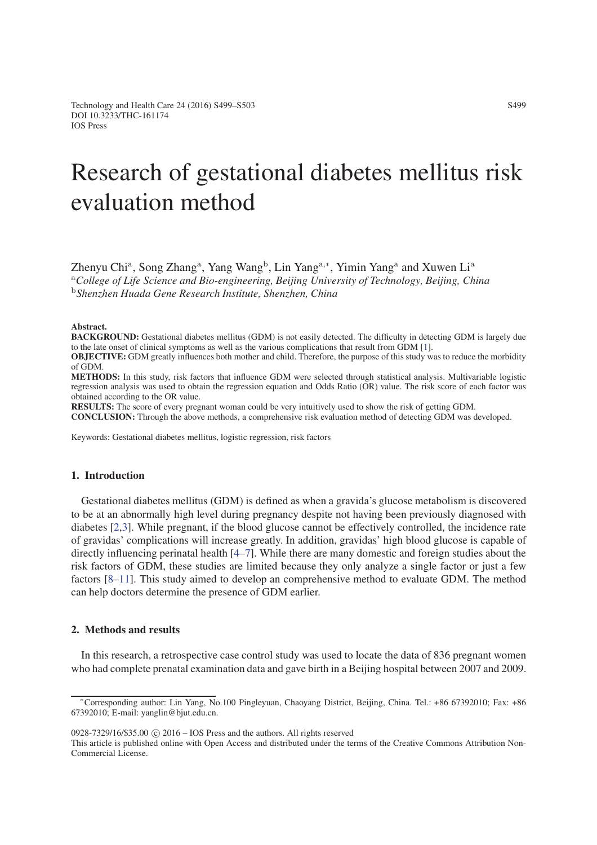# Research of gestational diabetes mellitus risk evaluation method

Zhenyu Chi<sup>a</sup>, Song Zhang<sup>a</sup>, Yang Wang<sup>b</sup>, Lin Yang<sup>a</sup>*,*∗, Yimin Yang<sup>a</sup> and Xuwen Li<sup>a</sup> <sup>a</sup>*College of Life Science and Bio-engineering, Beijing University of Technology, Beijing, China* <sup>b</sup>*Shenzhen Huada Gene Research Institute, Shenzhen, China*

#### Abstract.

BACKGROUND: Gestational diabetes mellitus (GDM) is not easily detected. The difficulty in detecting GDM is largely due to the late onset of clinical symptoms as well as the various complications that result from GDM [\[1\]](#page-4-0). OBJECTIVE: GDM greatly influences both mother and child. Therefore, the purpose of this study was to reduce the morbidity of GDM.

METHODS: In this study, risk factors that influence GDM were selected through statistical analysis. Multivariable logistic regression analysis was used to obtain the regression equation and Odds Ratio (OR) value. The risk score of each factor was obtained according to the OR value.

RESULTS: The score of every pregnant woman could be very intuitively used to show the risk of getting GDM.

CONCLUSION: Through the above methods, a comprehensive risk evaluation method of detecting GDM was developed.

Keywords: Gestational diabetes mellitus, logistic regression, risk factors

#### 1. Introduction

Gestational diabetes mellitus (GDM) is defined as when a gravida's glucose metabolism is discovered to be at an abnormally high level during pregnancy despite not having been previously diagnosed with diabetes [\[2,](#page-4-1)[3\]](#page-4-2). While pregnant, if the blood glucose cannot be effectively controlled, the incidence rate of gravidas' complications will increase greatly. In addition, gravidas' high blood glucose is capable of directly influencing perinatal health [\[4–](#page-4-3)[7\]](#page-4-4). While there are many domestic and foreign studies about the risk factors of GDM, these studies are limited because they only analyze a single factor or just a few factors [\[8–](#page-4-5)[11\]](#page-4-6). This study aimed to develop an comprehensive method to evaluate GDM. The method can help doctors determine the presence of GDM earlier.

### 2. Methods and results

In this research, a retrospective case control study was used to locate the data of 836 pregnant women who had complete prenatal examination data and gave birth in a Beijing hospital between 2007 and 2009.

 $0928-7329/16/$ \$35.00  $\odot$  2016 – IOS Press and the authors. All rights reserved

This article is published online with Open Access and distributed under the terms of the Creative Commons Attribution Non-Commercial License.

<sup>∗</sup>Corresponding author: Lin Yang, No.100 Pingleyuan, Chaoyang District, Beijing, China. Tel.: +86 67392010; Fax: +86 67392010; E-mail: yanglin@bjut.edu.cn.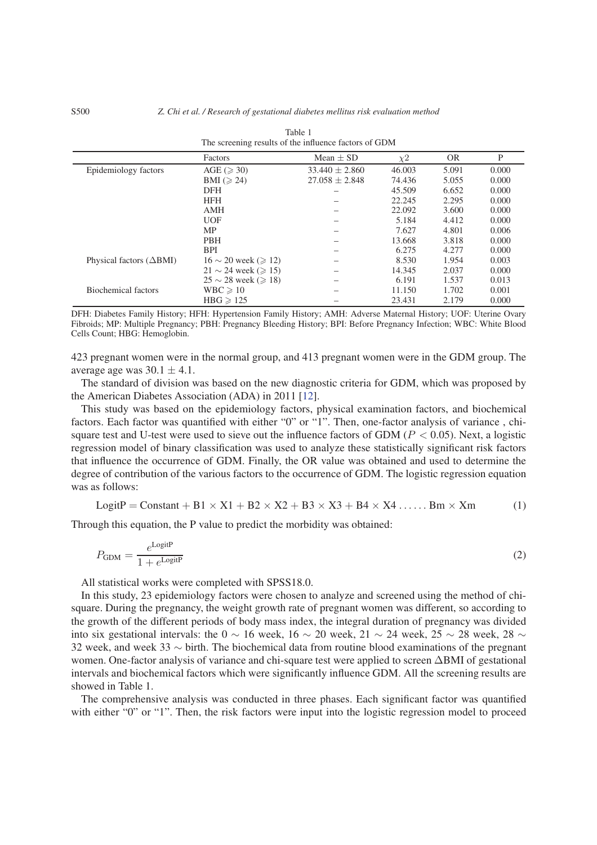|                                    | Factors                         | Mean $\pm$ SD      | $\chi^2$ | <b>OR</b> | P     |
|------------------------------------|---------------------------------|--------------------|----------|-----------|-------|
| Epidemiology factors               | AGE ( $\geqslant$ 30)           | $33.440 \pm 2.860$ | 46.003   | 5.091     | 0.000 |
|                                    | BMI ( $\geqslant$ 24)           | $27.058 \pm 2.848$ | 74.436   | 5.055     | 0.000 |
|                                    | <b>DFH</b>                      |                    | 45.509   | 6.652     | 0.000 |
|                                    | <b>HFH</b>                      |                    | 22.245   | 2.295     | 0.000 |
|                                    | <b>AMH</b>                      |                    | 22.092   | 3.600     | 0.000 |
|                                    | <b>UOF</b>                      |                    | 5.184    | 4.412     | 0.000 |
|                                    | <b>MP</b>                       |                    | 7.627    | 4.801     | 0.006 |
|                                    | <b>PBH</b>                      |                    | 13.668   | 3.818     | 0.000 |
|                                    | <b>BPI</b>                      |                    | 6.275    | 4.277     | 0.000 |
| Physical factors $(\triangle BMI)$ | $16 \sim 20$ week ( $\geq 12$ ) |                    | 8.530    | 1.954     | 0.003 |
|                                    | $21 \sim 24$ week ( $\geq 15$ ) |                    | 14.345   | 2.037     | 0.000 |
|                                    | $25 \sim 28$ week ( $\geq 18$ ) |                    | 6.191    | 1.537     | 0.013 |
| Biochemical factors                | $WBC \ge 10$                    |                    | 11.150   | 1.702     | 0.001 |
|                                    | $HBG \ge 125$                   |                    | 23.431   | 2.179     | 0.000 |

| Table 1                                               |
|-------------------------------------------------------|
| The screening results of the influence factors of GDM |

DFH: Diabetes Family History; HFH: Hypertension Family History; AMH: Adverse Maternal History; UOF: Uterine Ovary Fibroids; MP: Multiple Pregnancy; PBH: Pregnancy Bleeding History; BPI: Before Pregnancy Infection; WBC: White Blood Cells Count; HBG: Hemoglobin.

423 pregnant women were in the normal group, and 413 pregnant women were in the GDM group. The average age was  $30.1 \pm 4.1$ .

The standard of division was based on the new diagnostic criteria for GDM, which was proposed by the American Diabetes Association (ADA) in 2011 [\[12\]](#page-4-7).

This study was based on the epidemiology factors, physical examination factors, and biochemical factors. Each factor was quantified with either "0" or "1". Then, one-factor analysis of variance , chisquare test and U-test were used to sieve out the influence factors of GDM (*P <* 0.05). Next, a logistic regression model of binary classification was used to analyze these statistically significant risk factors that influence the occurrence of GDM. Finally, the OR value was obtained and used to determine the degree of contribution of the various factors to the occurrence of GDM. The logistic regression equation was as follows:

$$
LogitP = Constant + B1 \times X1 + B2 \times X2 + B3 \times X3 + B4 \times X4 \dots Bm \times Xm
$$
 (1)

Through this equation, the P value to predict the morbidity was obtained:

$$
P_{\rm GDM} = \frac{e^{\rm LogitP}}{1 + e^{\rm LogitP}}\tag{2}
$$

All statistical works were completed with SPSS18.0.

In this study, 23 epidemiology factors were chosen to analyze and screened using the method of chisquare. During the pregnancy, the weight growth rate of pregnant women was different, so according to the growth of the different periods of body mass index, the integral duration of pregnancy was divided into six gestational intervals: the 0 ∼ 16 week, 16 ∼ 20 week, 21 ∼ 24 week, 25 ∼ 28 week, 28 ∼ 32 week, and week 33 ∼ birth. The biochemical data from routine blood examinations of the pregnant women. One-factor analysis of variance and chi-square test were applied to screen ΔBMI of gestational intervals and biochemical factors which were significantly influence GDM. All the screening results are showed in Table 1.

The comprehensive analysis was conducted in three phases. Each significant factor was quantified with either "0" or "1". Then, the risk factors were input into the logistic regression model to proceed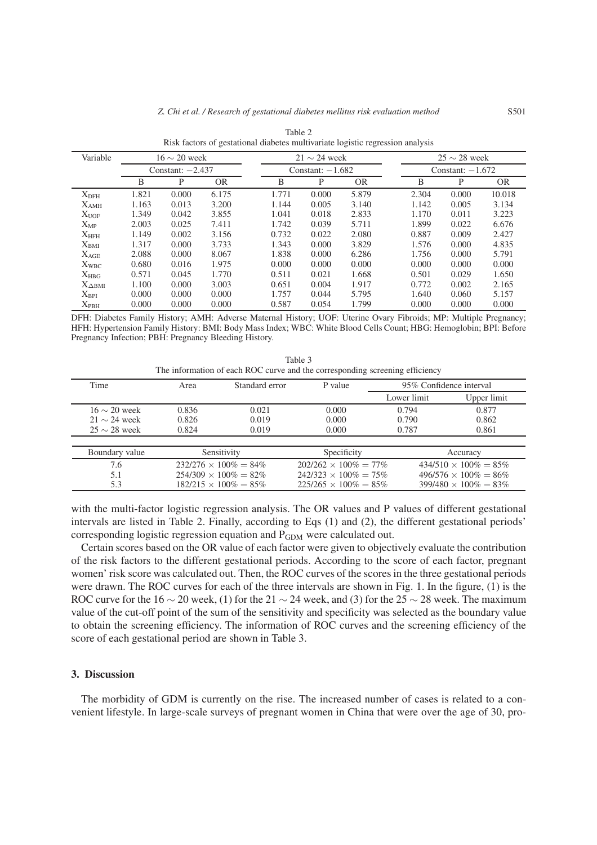| Variable         | $16 \sim 20$ week  |       |           | $21 \sim 24$ week |                    | $25 \sim 28$ week |       |                    |           |  |
|------------------|--------------------|-------|-----------|-------------------|--------------------|-------------------|-------|--------------------|-----------|--|
|                  | Constant: $-2.437$ |       |           |                   | Constant: $-1.682$ |                   |       | Constant: $-1.672$ |           |  |
|                  | B                  | P     | <b>OR</b> | B                 | P                  | <b>OR</b>         | B     | P                  | <b>OR</b> |  |
| X <sub>DFH</sub> | 1.821              | 0.000 | 6.175     | 1.771             | 0.000              | 5.879             | 2.304 | 0.000              | 10.018    |  |
| $X_{AMH}$        | 1.163              | 0.013 | 3.200     | 1.144             | 0.005              | 3.140             | 1.142 | 0.005              | 3.134     |  |
| X <sub>UOF</sub> | 1.349              | 0.042 | 3.855     | 1.041             | 0.018              | 2.833             | 1.170 | 0.011              | 3.223     |  |
| $X_{MP}$         | 2.003              | 0.025 | 7.411     | 1.742             | 0.039              | 5.711             | 1.899 | 0.022              | 6.676     |  |
| X <sub>HFH</sub> | 1.149              | 0.002 | 3.156     | 0.732             | 0.022              | 2.080             | 0.887 | 0.009              | 2.427     |  |
| $X_{\text{BMI}}$ | 1.317              | 0.000 | 3.733     | 1.343             | 0.000              | 3.829             | 1.576 | 0.000              | 4.835     |  |
| $X_{AGE}$        | 2.088              | 0.000 | 8.067     | 1.838             | 0.000              | 6.286             | 1.756 | 0.000              | 5.791     |  |
| $X_{WBC}$        | 0.680              | 0.016 | 1.975     | 0.000             | 0.000              | 0.000             | 0.000 | 0.000              | 0.000     |  |
| $X_{HBG}$        | 0.571              | 0.045 | 1.770     | 0.511             | 0.021              | 1.668             | 0.501 | 0.029              | 1.650     |  |
| $X_{\Delta BMI}$ | 1.100              | 0.000 | 3.003     | 0.651             | 0.004              | 1.917             | 0.772 | 0.002              | 2.165     |  |
| $X_{\rm BPI}$    | 0.000              | 0.000 | 0.000     | 1.757             | 0.044              | 5.795             | 1.640 | 0.060              | 5.157     |  |
| $X_{PBH}$        | 0.000              | 0.000 | 0.000     | 0.587             | 0.054              | 1.799             | 0.000 | 0.000              | 0.000     |  |

Table 2 Risk factors of gestational diabetes multivariate logistic regression analysis

DFH: Diabetes Family History; AMH: Adverse Maternal History; UOF: Uterine Ovary Fibroids; MP: Multiple Pregnancy; HFH: Hypertension Family History: BMI: Body Mass Index; WBC: White Blood Cells Count; HBG: Hemoglobin; BPI: Before Pregnancy Infection; PBH: Pregnancy Bleeding History.

| The information of each ROC curve and the corresponding screening efficiency |                               |                |                               |             |                               |  |  |
|------------------------------------------------------------------------------|-------------------------------|----------------|-------------------------------|-------------|-------------------------------|--|--|
| Time                                                                         | Area                          | Standard error | P value                       |             | 95% Confidence interval       |  |  |
|                                                                              |                               |                |                               | Lower limit | Upper limit                   |  |  |
| $16 \sim 20$ week                                                            | 0.836                         | 0.021          | 0.000                         | 0.794       | 0.877                         |  |  |
| $21 \sim 24$ week                                                            | 0.826                         | 0.019          | 0.000                         | 0.790       | 0.862                         |  |  |
| $25 \sim 28$ week                                                            | 0.824                         | 0.019          | 0.000                         | 0.787       | 0.861                         |  |  |
|                                                                              |                               |                |                               |             |                               |  |  |
| Boundary value                                                               | Sensitivity                   |                | Specificity                   |             | Accuracy                      |  |  |
| 7.6                                                                          | $232/276 \times 100\% = 84\%$ |                | $202/262 \times 100\% = 77\%$ |             | $434/510 \times 100\% = 85\%$ |  |  |
| 5.1                                                                          | $254/309 \times 100\% = 82\%$ |                | $242/323 \times 100\% = 75\%$ |             | $496/576 \times 100\% = 86\%$ |  |  |
| 5.3                                                                          | $182/215 \times 100\% = 85\%$ |                | $225/265 \times 100\% = 85\%$ |             | $399/480 \times 100\% = 83\%$ |  |  |

Table 3

with the multi-factor logistic regression analysis. The OR values and P values of different gestational intervals are listed in Table 2. Finally, according to Eqs (1) and (2), the different gestational periods' corresponding logistic regression equation and  $P_{GDM}$  were calculated out.

Certain scores based on the OR value of each factor were given to objectively evaluate the contribution of the risk factors to the different gestational periods. According to the score of each factor, pregnant women' risk score was calculated out. Then, the ROC curves of the scores in the three gestational periods were drawn. The ROC curves for each of the three intervals are shown in Fig. 1. In the figure, (1) is the ROC curve for the 16 ∼ 20 week, (1) for the 21 ∼ 24 week, and (3) for the 25 ∼ 28 week. The maximum value of the cut-off point of the sum of the sensitivity and specificity was selected as the boundary value to obtain the screening efficiency. The information of ROC curves and the screening efficiency of the score of each gestational period are shown in Table 3.

# 3. Discussion

The morbidity of GDM is currently on the rise. The increased number of cases is related to a convenient lifestyle. In large-scale surveys of pregnant women in China that were over the age of 30, pro-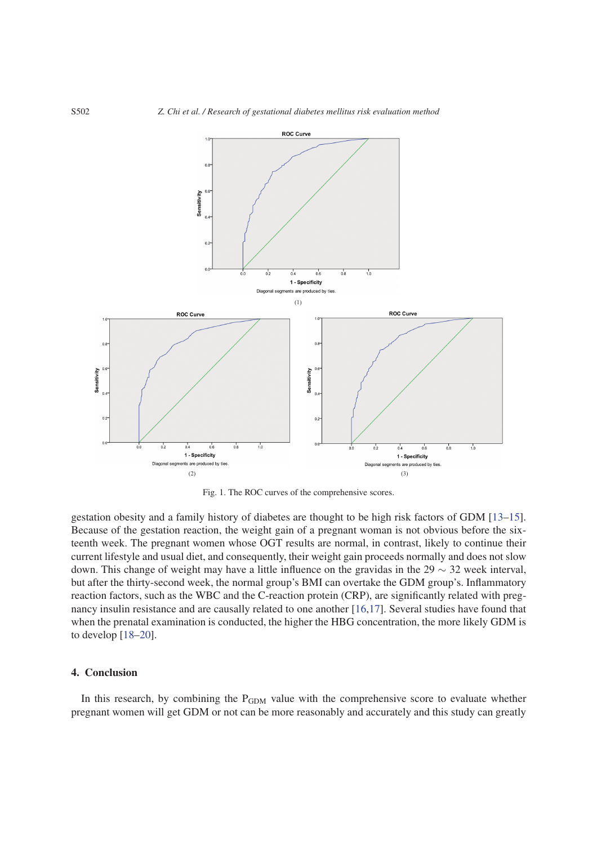

Fig. 1. The ROC curves of the comprehensive scores.

gestation obesity and a family history of diabetes are thought to be high risk factors of GDM [\[13–](#page-4-8)[15\]](#page-4-9). Because of the gestation reaction, the weight gain of a pregnant woman is not obvious before the sixteenth week. The pregnant women whose OGT results are normal, in contrast, likely to continue their current lifestyle and usual diet, and consequently, their weight gain proceeds normally and does not slow down. This change of weight may have a little influence on the gravidas in the 29 ∼ 32 week interval, but after the thirty-second week, the normal group's BMI can overtake the GDM group's. Inflammatory reaction factors, such as the WBC and the C-reaction protein (CRP), are significantly related with pregnancy insulin resistance and are causally related to one another [\[16,](#page-4-10)[17\]](#page-4-11). Several studies have found that when the prenatal examination is conducted, the higher the HBG concentration, the more likely GDM is to develop [\[18–](#page-4-12)[20\]](#page-4-13).

# 4. Conclusion

In this research, by combining the  $P_{GDM}$  value with the comprehensive score to evaluate whether pregnant women will get GDM or not can be more reasonably and accurately and this study can greatly